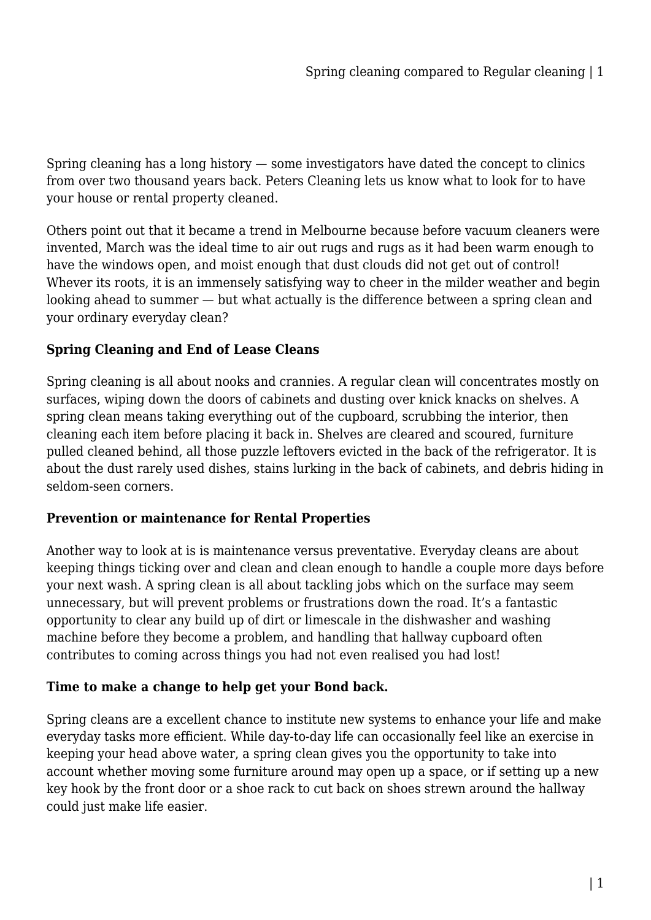Spring cleaning has a long history — some investigators have dated the concept to clinics from over two thousand years back. Peters Cleaning lets us know what to look for to have your house or rental property cleaned.

Others point out that it became a trend in Melbourne because before vacuum cleaners were invented, March was the ideal time to air out rugs and rugs as it had been warm enough to have the windows open, and moist enough that dust clouds did not get out of control! Whever its roots, it is an immensely satisfying way to cheer in the milder weather and begin looking ahead to summer — but what actually is the difference between a spring clean and your ordinary everyday clean?

## **Spring Cleaning and End of Lease Cleans**

Spring cleaning is all about nooks and crannies. A regular clean will concentrates mostly on surfaces, wiping down the doors of cabinets and dusting over knick knacks on shelves. A spring clean means taking everything out of the cupboard, scrubbing the interior, then cleaning each item before placing it back in. Shelves are cleared and scoured, furniture pulled cleaned behind, all those puzzle leftovers evicted in the back of the refrigerator. It is about the dust rarely used dishes, stains lurking in the back of cabinets, and debris hiding in seldom-seen corners.

## **Prevention or maintenance for Rental Properties**

Another way to look at is is maintenance versus preventative. Everyday cleans are about keeping things ticking over and clean and clean enough to handle a couple more days before your next wash. A spring clean is all about tackling jobs which on the surface may seem unnecessary, but will prevent problems or frustrations down the road. It's a fantastic opportunity to clear any build up of dirt or limescale in the dishwasher and washing machine before they become a problem, and handling that hallway cupboard often contributes to coming across things you had not even realised you had lost!

## **Time to make a change to help get your Bond back.**

Spring cleans are a excellent chance to institute new systems to enhance your life and make everyday tasks more efficient. While day-to-day life can occasionally feel like an exercise in keeping your head above water, a spring clean gives you the opportunity to take into account whether moving some furniture around may open up a space, or if setting up a new key hook by the front door or a shoe rack to cut back on shoes strewn around the hallway could just make life easier.